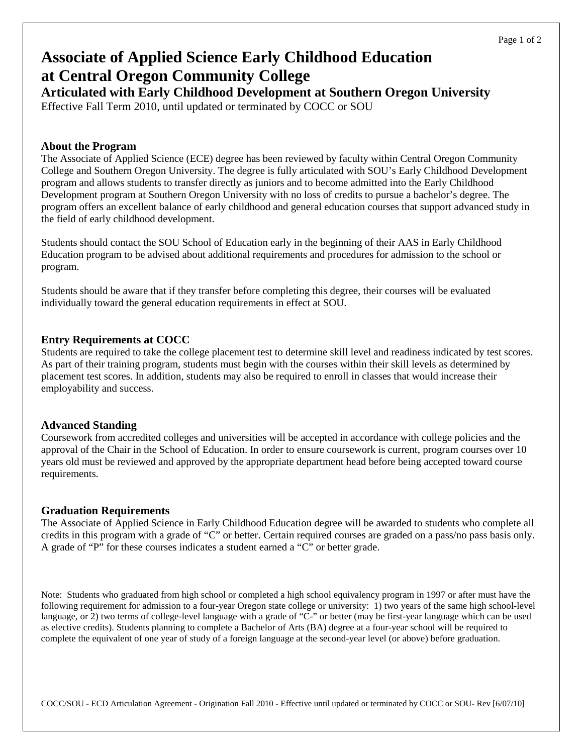# **Associate of Applied Science Early Childhood Education at Central Oregon Community College**

**Articulated with Early Childhood Development at Southern Oregon University** Effective Fall Term 2010, until updated or terminated by COCC or SOU

### **About the Program**

The Associate of Applied Science (ECE) degree has been reviewed by faculty within Central Oregon Community College and Southern Oregon University. The degree is fully articulated with SOU's Early Childhood Development program and allows students to transfer directly as juniors and to become admitted into the Early Childhood Development program at Southern Oregon University with no loss of credits to pursue a bachelor's degree. The program offers an excellent balance of early childhood and general education courses that support advanced study in the field of early childhood development.

Students should contact the SOU School of Education early in the beginning of their AAS in Early Childhood Education program to be advised about additional requirements and procedures for admission to the school or program.

Students should be aware that if they transfer before completing this degree, their courses will be evaluated individually toward the general education requirements in effect at SOU.

## **Entry Requirements at COCC**

Students are required to take the college placement test to determine skill level and readiness indicated by test scores. As part of their training program, students must begin with the courses within their skill levels as determined by placement test scores. In addition, students may also be required to enroll in classes that would increase their employability and success.

### **Advanced Standing**

Coursework from accredited colleges and universities will be accepted in accordance with college policies and the approval of the Chair in the School of Education. In order to ensure coursework is current, program courses over 10 years old must be reviewed and approved by the appropriate department head before being accepted toward course requirements.

## **Graduation Requirements**

The Associate of Applied Science in Early Childhood Education degree will be awarded to students who complete all credits in this program with a grade of "C" or better. Certain required courses are graded on a pass/no pass basis only. A grade of "P" for these courses indicates a student earned a "C" or better grade.

Note: Students who graduated from high school or completed a high school equivalency program in 1997 or after must have the following requirement for admission to a four-year Oregon state college or university: 1) two years of the same high school-level language, or 2) two terms of college-level language with a grade of "C-" or better (may be first-year language which can be used as elective credits). Students planning to complete a Bachelor of Arts (BA) degree at a four-year school will be required to complete the equivalent of one year of study of a foreign language at the second-year level (or above) before graduation.

COCC/SOU - ECD Articulation Agreement - Origination Fall 2010 - Effective until updated or terminated by COCC or SOU- Rev [6/07/10]